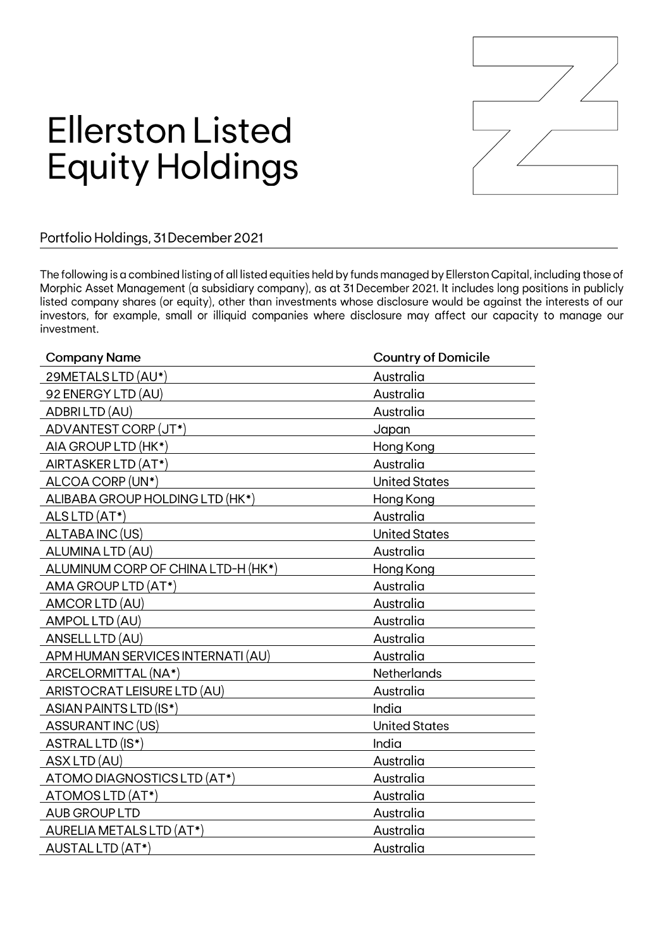

## **Ellerston Listed Equity Holdings**

## Portfolio Holdings, 31 December 2021

The following is a combined listing of all listed equities held by funds managed by Ellerston Capital, including those of Morphic Asset Management (a subsidiary company), as at 31 December 2021. It includes long positions in publicly listed company shares (or equity), other than investments whose disclosure would be against the interests of our investors, for example, small or illiquid companies where disclosure may affect our capacity to manage our investment.

| <b>Company Name</b>                | <b>Country of Domicile</b> |
|------------------------------------|----------------------------|
| 29METALS LTD (AU*)                 | Australia                  |
| 92 ENERGY LTD (AU)                 | Australia                  |
| ADBRILTD (AU)                      | Australia                  |
| ADVANTEST CORP (JT*)               | Japan                      |
| AIA GROUP LTD (HK*)                | Hong Kong                  |
| AIRTASKER LTD (AT*)                | Australia                  |
| ALCOA CORP (UN*)                   | <b>United States</b>       |
| ALIBABA GROUP HOLDING LTD (HK*)    | Hong Kong                  |
| ALS LTD (AT*)                      | Australia                  |
| ALTABA INC (US)                    | <b>United States</b>       |
| ALUMINA LTD (AU)                   | Australia                  |
| ALUMINUM CORP OF CHINA LTD-H (HK*) | Hong Kong                  |
| AMA GROUP LTD (AT*)                | Australia                  |
| AMCOR LTD (AU)                     | Australia                  |
| AMPOL LTD (AU)                     | Australia                  |
| ANSELL LTD (AU)                    | Australia                  |
| APM HUMAN SERVICES INTERNATI (AU)  | Australia                  |
| ARCELORMITTAL (NA*)                | Netherlands                |
| ARISTOCRAT LEISURE LTD (AU)        | Australia                  |
| ASIAN PAINTS LTD (IS*)             | India                      |
| ASSURANT INC (US)                  | <b>United States</b>       |
| ASTRAL LTD (IS*)                   | India                      |
| ASX LTD (AU)                       | Australia                  |
| ATOMO DIAGNOSTICS LTD (AT*)        | Australia                  |
| ATOMOSLTD (AT*)                    | Australia                  |
| <b>AUB GROUP LTD</b>               | Australia                  |
| <b>AURELIA METALS LTD (AT*)</b>    | Australia                  |
| AUSTAL LTD (AT*)                   | Australia                  |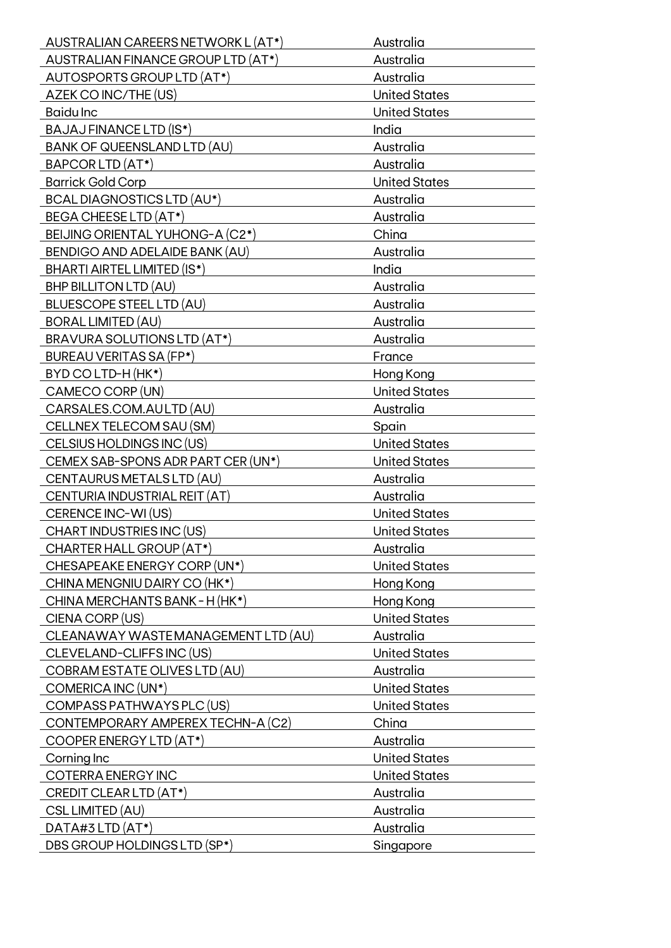| AUSTRALIAN CAREERS NETWORK L (AT*)                    | Australia                         |
|-------------------------------------------------------|-----------------------------------|
| AUSTRALIAN FINANCE GROUP LTD (AT*)                    | Australia                         |
| AUTOSPORTS GROUP LTD (AT*)                            | Australia                         |
| AZEK CO INC/THE (US)                                  | <b>United States</b>              |
| <b>Baidulnc</b>                                       | <b>United States</b>              |
| BAJAJ FINANCE LTD (IS*)                               | India                             |
| <b>BANK OF QUEENSLAND LTD (AU)</b>                    | Australia                         |
| BAPCOR LTD (AT*)                                      | Australia                         |
| <b>Barrick Gold Corp</b>                              | <b>United States</b>              |
| <b>BCAL DIAGNOSTICS LTD (AU*)</b>                     | Australia                         |
| <b>BEGA CHEESE LTD (AT*)</b>                          | Australia                         |
| BEIJING ORIENTAL YUHONG-A (C2*)                       | China                             |
| <b>BENDIGO AND ADELAIDE BANK (AU)</b>                 | Australia                         |
| BHARTI AIRTEL LIMITED (IS*)                           | India                             |
| <b>BHP BILLITON LTD (AU)</b>                          | Australia                         |
| <b>BLUESCOPE STEEL LTD (AU)</b>                       | Australia                         |
| <b>BORAL LIMITED (AU)</b>                             | Australia                         |
| <b>BRAVURA SOLUTIONS LTD (AT*)</b>                    | Australia                         |
| <b>BUREAU VERITAS SA (FP*)</b>                        | France                            |
| BYD CO LTD-H (HK*)                                    | Hong Kong                         |
| CAMECO CORP (UN)                                      | <b>United States</b>              |
| CARSALES.COM.AULTD (AU)                               | Australia                         |
| CELLNEX TELECOM SAU (SM)                              | Spain                             |
| CELSIUS HOLDINGS INC (US)                             | <b>United States</b>              |
| CEMEX SAB-SPONS ADR PART CER (UN*)                    | <b>United States</b>              |
| CENTAURUS METALS LTD (AU)                             | Australia                         |
| CENTURIA INDUSTRIAL REIT (AT)                         | Australia                         |
| CERENCE INC-WI (US)                                   | <b>United States</b>              |
| CHART INDUSTRIES INC (US)                             | <b>United States</b>              |
| CHARTER HALL GROUP (AT*)                              | Australia                         |
| CHESAPEAKE ENERGY CORP (UN*)                          | <b>United States</b>              |
| CHINA MENGNIU DAIRY CO (HK*)                          |                                   |
| CHINA MERCHANTS BANK - H(HK*)                         | Hong Kong<br>Hong Kong            |
|                                                       |                                   |
| CIENA CORP (US)<br>CLEANAWAY WASTEMANAGEMENT LTD (AU) | <b>United States</b><br>Australia |
|                                                       |                                   |
| CLEVELAND-CLIFFS INC (US)                             | <b>United States</b>              |
| COBRAM ESTATE OLIVES LTD (AU)                         | Australia                         |
| COMERICA INC (UN*)                                    | <b>United States</b>              |
| COMPASS PATHWAYS PLC (US)                             | <b>United States</b>              |
| CONTEMPORARY AMPEREX TECHN-A (C2)                     | China                             |
| COOPER ENERGY LTD (AT*)                               | Australia                         |
| Corning Inc                                           | <b>United States</b>              |
| COTERRA ENERGY INC                                    | <b>United States</b>              |
| CREDIT CLEAR LTD (AT*)                                | Australia                         |
| CSL LIMITED (AU)                                      | Australia                         |
| $DATA#3$ LTD $(AT*)$                                  | Australia                         |
| DBS GROUP HOLDINGS LTD (SP*)                          | Singapore                         |
|                                                       |                                   |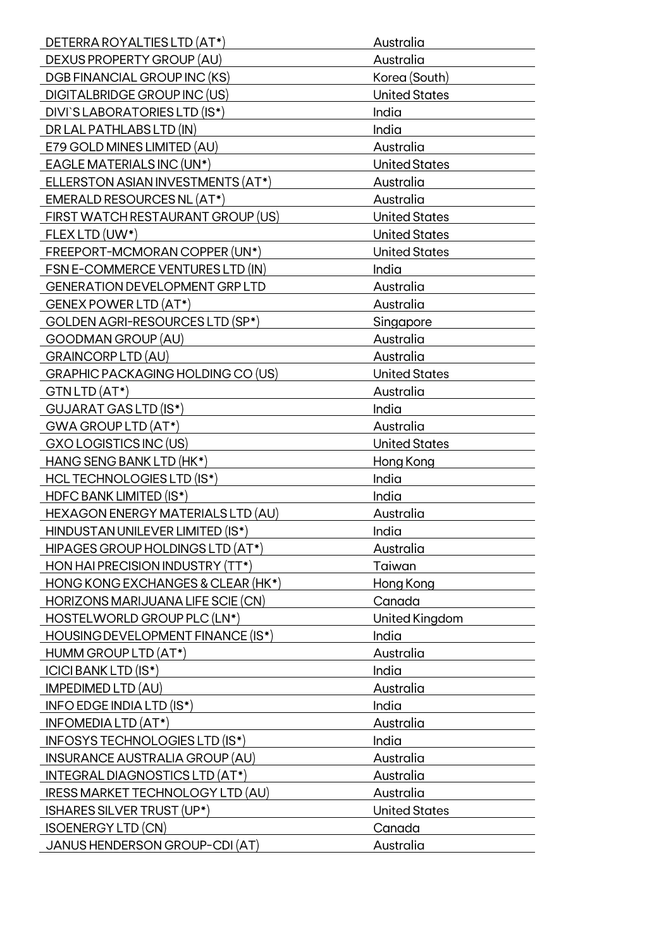| DETERRA ROYALTIES LTD (AT*)                            | Australia            |
|--------------------------------------------------------|----------------------|
| DEXUS PROPERTY GROUP (AU)                              | Australia            |
| <b>DGB FINANCIAL GROUP INC (KS)</b>                    | Korea (South)        |
| <b>DIGITALBRIDGE GROUP INC (US)</b>                    | <b>United States</b> |
| DIVI'S LABORATORIES LTD (IS*)                          | India                |
| DR LAL PATHLABS LTD (IN)                               | India                |
| E79 GOLD MINES LIMITED (AU)                            | Australia            |
| EAGLE MATERIALS INC (UN*)                              | <b>United States</b> |
| ELLERSTON ASIAN INVESTMENTS (AT*)                      | Australia            |
| EMERALD RESOURCES NL (AT*)                             | Australia            |
| FIRST WATCH RESTAURANT GROUP (US)                      | <b>United States</b> |
| FLEX LTD (UW*)                                         | <b>United States</b> |
| FREEPORT-MCMORAN COPPER (UN*)                          | <b>United States</b> |
| FSN E-COMMERCE VENTURES LTD (IN)                       | India                |
| <b>GENERATION DEVELOPMENT GRP LTD</b>                  | Australia            |
| GENEX POWER LTD (AT*)                                  | Australia            |
| GOLDEN AGRI-RESOURCES LTD (SP*)                        | Singapore            |
|                                                        |                      |
| <b>GOODMAN GROUP (AU)</b><br><b>GRAINCORP LTD (AU)</b> | Australia            |
|                                                        | Australia            |
| GRAPHIC PACKAGING HOLDING CO (US)                      | <b>United States</b> |
| GTN LTD (AT*)                                          | Australia            |
| GUJARAT GAS LTD (IS*)                                  | India                |
| GWA GROUP LTD (AT*)                                    | Australia            |
| GXO LOGISTICS INC (US)                                 | <b>United States</b> |
| <b>HANG SENG BANK LTD (HK*)</b>                        | Hong Kong            |
| <b>HCL TECHNOLOGIES LTD (IS*)</b>                      | India                |
| <b>HDFC BANK LIMITED (IS*)</b>                         | India                |
| HEXAGON ENERGY MATERIALS LTD (AU)                      | Australia            |
| HINDUSTAN UNILEVER LIMITED (IS*)                       | India                |
| HIPAGES GROUP HOLDINGS LTD (AT*)                       | Australia            |
| HON HAI PRECISION INDUSTRY (TT*)                       | Taiwan               |
| HONG KONG EXCHANGES & CLEAR (HK*)                      | Hong Kong            |
| HORIZONS MARIJUANA LIFE SCIE (CN)                      | Canada               |
| HOSTELWORLD GROUP PLC (LN*)                            | United Kingdom       |
| HOUSING DEVELOPMENT FINANCE (IS*)                      | India                |
| HUMM GROUP LTD (AT*)                                   | Australia            |
| <b>ICICI BANK LTD (IS*)</b>                            | India                |
| <b>IMPEDIMED LTD (AU)</b>                              | Australia            |
| INFO EDGE INDIA LTD (IS*)                              | India                |
| INFOMEDIA LTD (AT*)                                    | Australia            |
| INFOSYS TECHNOLOGIES LTD (IS*)                         | India                |
| <b>INSURANCE AUSTRALIA GROUP (AU)</b>                  | Australia            |
| INTEGRAL DIAGNOSTICS LTD (AT*)                         | Australia            |
| <b>IRESS MARKET TECHNOLOGY LTD (AU)</b>                | Australia            |
| ISHARES SILVER TRUST (UP*)                             | <b>United States</b> |
| <b>ISOENERGY LTD (CN)</b>                              | Canada               |
| JANUS HENDERSON GROUP-CDI (AT)                         | Australia            |
|                                                        |                      |
|                                                        |                      |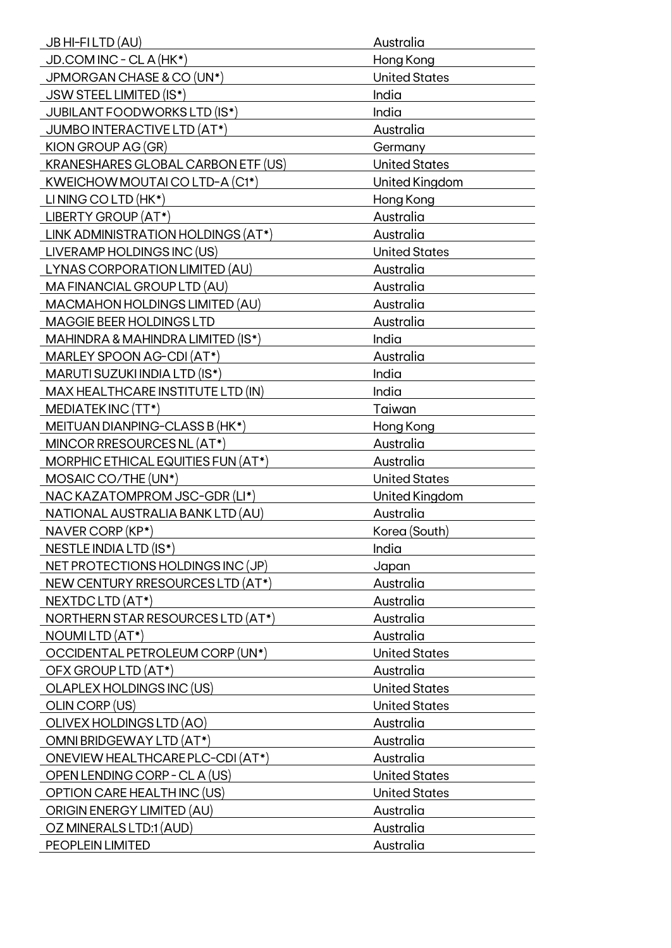| JB HI-FILTD (AU)                          | Australia            |
|-------------------------------------------|----------------------|
| JD.COM INC - CL A (HK*)                   | Hong Kong            |
| JPMORGAN CHASE & CO (UN*)                 | <b>United States</b> |
| JSW STEEL LIMITED (IS*)                   | India                |
| <b>JUBILANT FOODWORKS LTD (IS*)</b>       | India                |
| JUMBO INTERACTIVE LTD (AT*)               | Australia            |
| KION GROUP AG (GR)                        | Germany              |
| <b>KRANESHARES GLOBAL CARBON ETF (US)</b> | <b>United States</b> |
| KWEICHOW MOUTAI CO LTD-A (C1*)            | United Kingdom       |
| LINING COLTD (HK*)                        | Hong Kong            |
| LIBERTY GROUP (AT*)                       | Australia            |
| LINK ADMINISTRATION HOLDINGS (AT*)        | Australia            |
| LIVERAMP HOLDINGS INC (US)                | <b>United States</b> |
| LYNAS CORPORATION LIMITED (AU)            | Australia            |
| MA FINANCIAL GROUP LTD (AU)               | Australia            |
| MACMAHON HOLDINGS LIMITED (AU)            | Australia            |
| <b>MAGGIE BEER HOLDINGS LTD</b>           | Australia            |
|                                           | India                |
| MAHINDRA & MAHINDRA LIMITED (IS*)         | Australia            |
| MARLEY SPOON AG-CDI (AT*)                 |                      |
| MARUTI SUZUKI INDIA LTD (IS*)             | India                |
| MAX HEALTHCARE INSTITUTE LTD (IN)         | India                |
| MEDIATEK INC (TT*)                        | Taiwan               |
| MEITUAN DIANPING-CLASS B (HK*)            | Hong Kong            |
| MINCOR RRESOURCES NL (AT*)                | Australia            |
| MORPHIC ETHICAL EQUITIES FUN (AT*)        | Australia            |
| MOSAIC CO/THE (UN*)                       | <b>United States</b> |
| NAC KAZATOMPROM JSC-GDR (LI*)             | United Kingdom       |
| NATIONAL AUSTRALIA BANK LTD (AU)          | Australia            |
| NAVER CORP (KP*)                          | Korea (South)        |
| NESTLE INDIA LTD (IS*)                    | India                |
| NET PROTECTIONS HOLDINGS INC (JP)         | Japan                |
| NEW CENTURY RRESOURCES LTD (AT*)          | Australia            |
| NEXTDC LTD (AT*)                          | Australia            |
| NORTHERN STAR RESOURCES LTD (AT*)         | Australia            |
| NOUMILTD (AT*)                            | Australia            |
| OCCIDENTAL PETROLEUM CORP (UN*)           | <b>United States</b> |
| OFX GROUP LTD (AT*)                       | Australia            |
| OLAPLEX HOLDINGS INC (US)                 | <b>United States</b> |
| OLIN CORP (US)                            | <b>United States</b> |
| OLIVEX HOLDINGS LTD (AO)                  | Australia            |
| OMNI BRIDGEWAY LTD (AT*)                  | Australia            |
| ONEVIEW HEALTHCARE PLC-CDI (AT*)          | Australia            |
| OPEN LENDING CORP - CL A (US)             | <b>United States</b> |
| OPTION CARE HEALTH INC (US)               | <b>United States</b> |
| ORIGIN ENERGY LIMITED (AU)                | Australia            |
| OZ MINERALS LTD:1 (AUD)                   | Australia            |
| PEOPLEIN LIMITED                          | Australia            |
|                                           |                      |
|                                           |                      |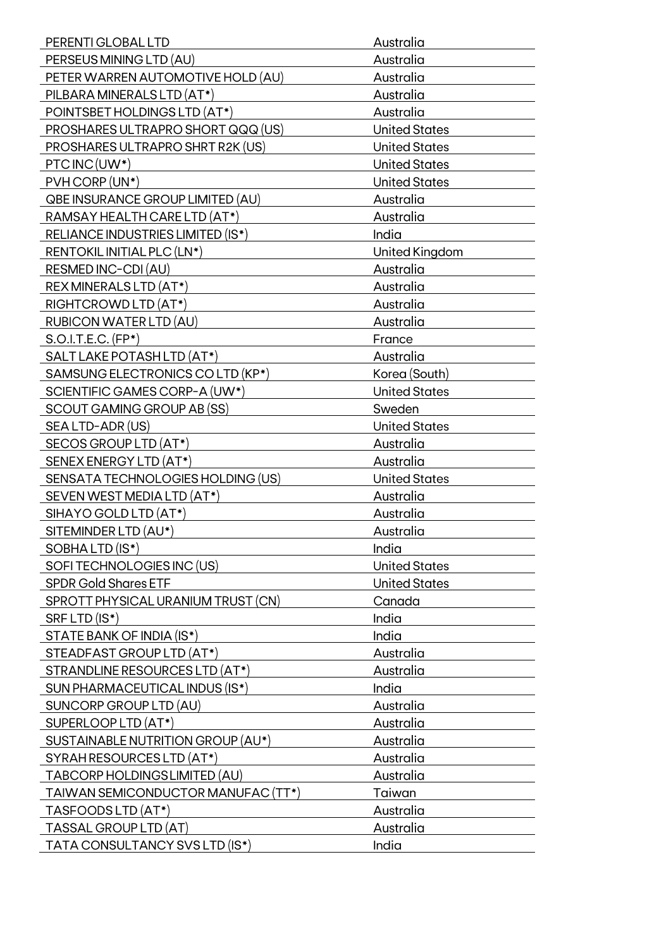| PERENTI GLOBAL LTD                      | Australia            |
|-----------------------------------------|----------------------|
| PERSEUS MINING LTD (AU)                 | Australia            |
| PETER WARREN AUTOMOTIVE HOLD (AU)       | Australia            |
| PILBARA MINERALS LTD (AT*)              | Australia            |
| POINTSBET HOLDINGS LTD (AT*)            | Australia            |
| PROSHARES ULTRAPRO SHORT QQQ (US)       | <b>United States</b> |
| PROSHARES ULTRAPRO SHRT R2K (US)        | <b>United States</b> |
| PTC INC (UW*)                           | <b>United States</b> |
| PVH CORP (UN*)                          | <b>United States</b> |
| <b>QBE INSURANCE GROUP LIMITED (AU)</b> | Australia            |
| RAMSAY HEALTH CARE LTD (AT*)            | Australia            |
| RELIANCE INDUSTRIES LIMITED (IS*)       | India                |
| RENTOKIL INITIAL PLC (LN*)              | United Kingdom       |
| RESMED INC-CDI (AU)                     | Australia            |
| REX MINERALS LTD (AT*)                  | Australia            |
| RIGHTCROWD LTD (AT*)                    | Australia            |
| RUBICON WATER LTD (AU)                  | Australia            |
| $S.O.I.T.E.C. (FP*)$                    | France               |
| SALT LAKE POTASH LTD (AT*)              | Australia            |
| SAMSUNG ELECTRONICS CO LTD (KP*)        | Korea (South)        |
| SCIENTIFIC GAMES CORP-A (UW*)           | <b>United States</b> |
| SCOUT GAMING GROUP AB (SS)              | Sweden               |
| SEA LTD-ADR (US)                        | <b>United States</b> |
| SECOS GROUP LTD (AT*)                   | Australia            |
| SENEX ENERGY LTD (AT*)                  | Australia            |
| SENSATA TECHNOLOGIES HOLDING (US)       | <b>United States</b> |
| SEVEN WEST MEDIA LTD (AT*)              | Australia            |
| SIHAYO GOLD LTD (AT*)                   | Australia            |
| SITEMINDER LTD (AU*)                    |                      |
|                                         | Australia            |
| SOBHALTD (IS*)                          | India                |
| SOFI TECHNOLOGIES INC (US)              | <b>United States</b> |
| <b>SPDR Gold Shares ETF</b>             | <b>United States</b> |
| SPROTT PHYSICAL URANIUM TRUST (CN)      | Canada               |
| SRF LTD (IS*)                           | India                |
| STATE BANK OF INDIA (IS*)               | India                |
| STEADFAST GROUP LTD (AT*)               | Australia            |
| STRANDLINE RESOURCES LTD (AT*)          | Australia            |
| SUN PHARMACEUTICAL INDUS (IS*)          | India                |
| SUNCORP GROUP LTD (AU)                  | Australia            |
| SUPERLOOP LTD (AT*)                     | Australia            |
| SUSTAINABLE NUTRITION GROUP (AU*)       | Australia            |
| SYRAH RESOURCES LTD (AT*)               | Australia            |
| TABCORP HOLDINGS LIMITED (AU)           | Australia            |
| TAIWAN SEMICONDUCTOR MANUFAC (TT*)      | Taiwan               |
| TASFOODS LTD (AT*)                      | Australia            |
| TASSAL GROUP LTD (AT)                   | Australia            |
| TATA CONSULTANCY SVS LTD (IS*)          | India                |
|                                         |                      |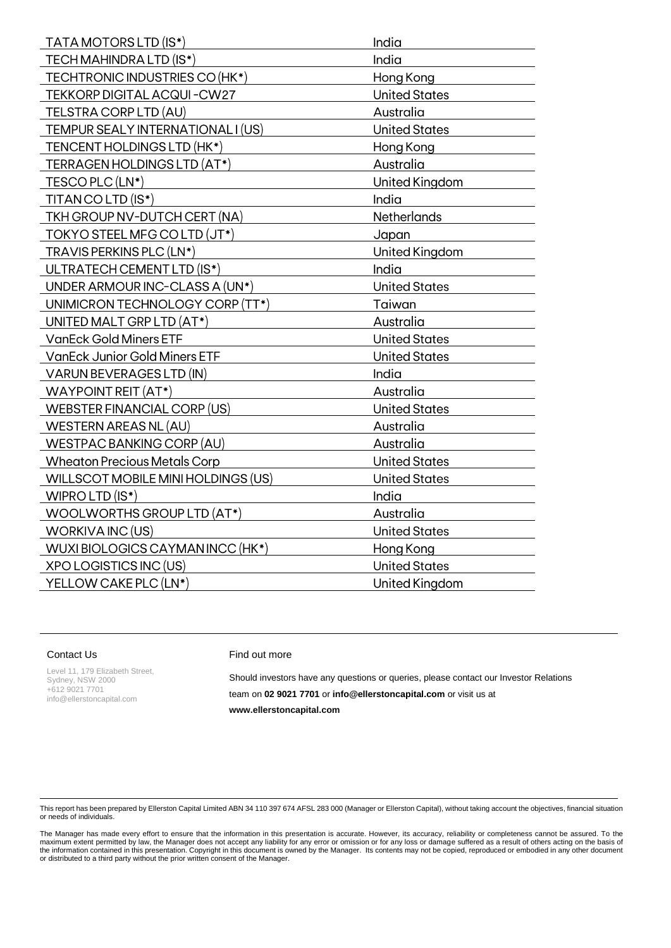| TECH MAHINDRA LTD (IS*)              | India                |
|--------------------------------------|----------------------|
| TECHTRONIC INDUSTRIES CO (HK*)       | Hong Kong            |
| TEKKORP DIGITAL ACQUI-CW27           | <b>United States</b> |
| TELSTRA CORP LTD (AU)                | Australia            |
| TEMPUR SEALY INTERNATIONAL I (US)    | <b>United States</b> |
| TENCENT HOLDINGS LTD (HK*)           | Hong Kong            |
| TERRAGEN HOLDINGS LTD (AT*)          | Australia            |
| TESCO PLC (LN*)                      | United Kingdom       |
| TITAN CO LTD (IS*)                   | India                |
| TKH GROUP NV-DUTCH CERT (NA)         | <b>Netherlands</b>   |
| TOKYO STEEL MFG CO LTD (JT*)         | Japan                |
| TRAVIS PERKINS PLC (LN*)             | United Kingdom       |
| ULTRATECH CEMENT LTD (IS*)           | India                |
| UNDER ARMOUR INC-CLASS A (UN*)       | <b>United States</b> |
| UNIMICRON TECHNOLOGY CORP (TT*)      | Taiwan               |
| UNITED MALT GRP LTD (AT*)            | Australia            |
| <b>VanEck Gold Miners ETF</b>        | <b>United States</b> |
| <b>VanEck Junior Gold Miners ETF</b> | <b>United States</b> |
| <b>VARUN BEVERAGES LTD (IN)</b>      | India                |
| <b>WAYPOINT REIT (AT*)</b>           | Australia            |
| WEBSTER FINANCIAL CORP (US)          | <b>United States</b> |
| WESTERN AREAS NL (AU)                | Australia            |
| WESTPAC BANKING CORP (AU)            | Australia            |
| <b>Wheaton Precious Metals Corp</b>  | <b>United States</b> |
| WILLSCOT MOBILE MINI HOLDINGS (US)   | <b>United States</b> |
| WIPRO LTD (IS*)                      | India                |
| WOOLWORTHS GROUP LTD (AT*)           | Australia            |
| WORKIVA INC (US)                     | <b>United States</b> |
| WUXI BIOLOGICS CAYMAN INCC (HK*)     | Hong Kong            |
| <b>XPO LOGISTICS INC (US)</b>        | <b>United States</b> |
| YELLOW CAKE PLC (LN*)                | United Kingdom       |

## Contact Us

Level 11, 179 Elizabeth Street, Sydney, NSW 2000 +612 9021 7701 [info@ellerstoncapital.com](mailto:info@ellerstoncapital.com)

## Find out more

Should investors have any questions or queries, please contact our Investor Relations team on **02 9021 7701** or **[info@ellerstoncapital.com](mailto:info@ellerstoncapital.com)** or visit us at **[www.ellerstoncapital.com](http://www.ellerstoncapital.com/)** 

This report has been prepared by Ellerston Capital Limited ABN 34 110 397 674 AFSL 283 000 (Manager or Ellerston Capital), without taking account the objectives, financial situation or needs of individuals.

The Manager has made every effort to ensure that the information in this presentation is accurate. However, its accuracy, reliability or completeness cannot be assured. To the maximum extent permitted by law, the Manager does not accept any liability for any error or omission or for any loss or damage suffered as a result of others acting on the basis of<br>the information contained in this present or distributed to a third party without the prior written consent of the Manager.